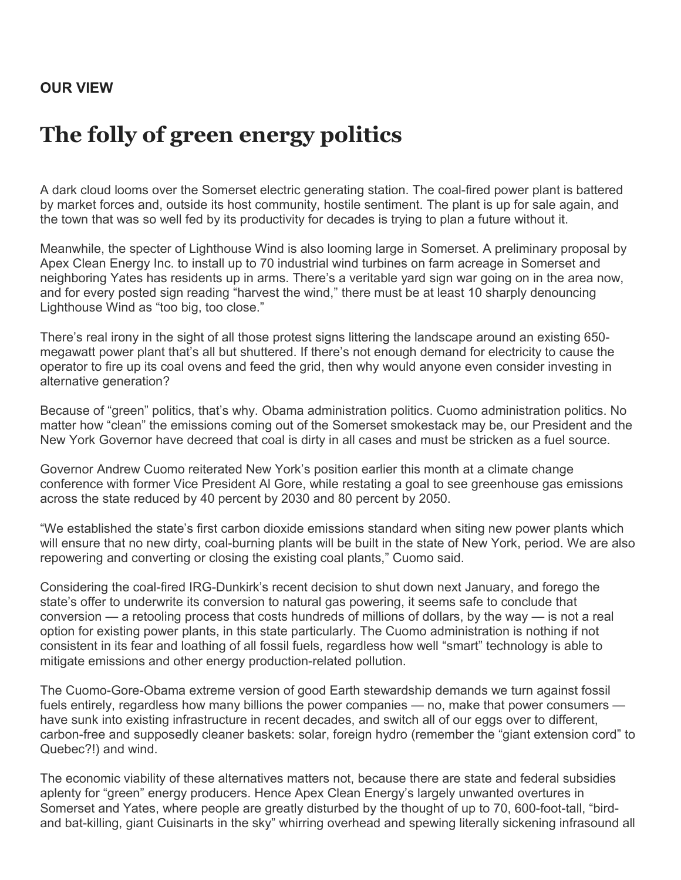## **The folly of green energy politics**

A dark cloud looms over the Somerset electric generating station. The coal-fired power plant is battered by market forces and, outside its host community, hostile sentiment. The plant is up for sale again, and the town that was so well fed by its productivity for decades is trying to plan a future without it.

Meanwhile, the specter of Lighthouse Wind is also looming large in Somerset. A preliminary proposal by Apex Clean Energy Inc. to install up to 70 industrial wind turbines on farm acreage in Somerset and neighboring Yates has residents up in arms. There's a veritable yard sign war going on in the area now, and for every posted sign reading "harvest the wind," there must be at least 10 sharply denouncing Lighthouse Wind as "too big, too close."

There's real irony in the sight of all those protest signs littering the landscape around an existing 650 megawatt power plant that's all but shuttered. If there's not enough demand for electricity to cause the operator to fire up its coal ovens and feed the grid, then why would anyone even consider investing in alternative generation?

Because of "green" politics, that's why. Obama administration politics. Cuomo administration politics. No matter how "clean" the emissions coming out of the Somerset smokestack may be, our President and the New York Governor have decreed that coal is dirty in all cases and must be stricken as a fuel source.

Governor Andrew Cuomo reiterated New York's position earlier this month at a climate change conference with former Vice President Al Gore, while restating a goal to see greenhouse gas emissions across the state reduced by 40 percent by 2030 and 80 percent by 2050.

"We established the state's first carbon dioxide emissions standard when siting new power plants which will ensure that no new dirty, coal-burning plants will be built in the state of New York, period. We are also repowering and converting or closing the existing coal plants," Cuomo said.

Considering the coal-fired IRG-Dunkirk's recent decision to shut down next January, and forego the state's offer to underwrite its conversion to natural gas powering, it seems safe to conclude that conversion — a retooling process that costs hundreds of millions of dollars, by the way — is not a real option for existing power plants, in this state particularly. The Cuomo administration is nothing if not consistent in its fear and loathing of all fossil fuels, regardless how well "smart" technology is able to mitigate emissions and other energy production-related pollution.

The Cuomo-Gore-Obama extreme version of good Earth stewardship demands we turn against fossil fuels entirely, regardless how many billions the power companies — no, make that power consumers have sunk into existing infrastructure in recent decades, and switch all of our eggs over to different, carbon-free and supposedly cleaner baskets: solar, foreign hydro (remember the "giant extension cord" to Quebec?!) and wind.

The economic viability of these alternatives matters not, because there are state and federal subsidies aplenty for "green" energy producers. Hence Apex Clean Energy's largely unwanted overtures in Somerset and Yates, where people are greatly disturbed by the thought of up to 70, 600-foot-tall, "birdand bat-killing, giant Cuisinarts in the sky" whirring overhead and spewing literally sickening infrasound all